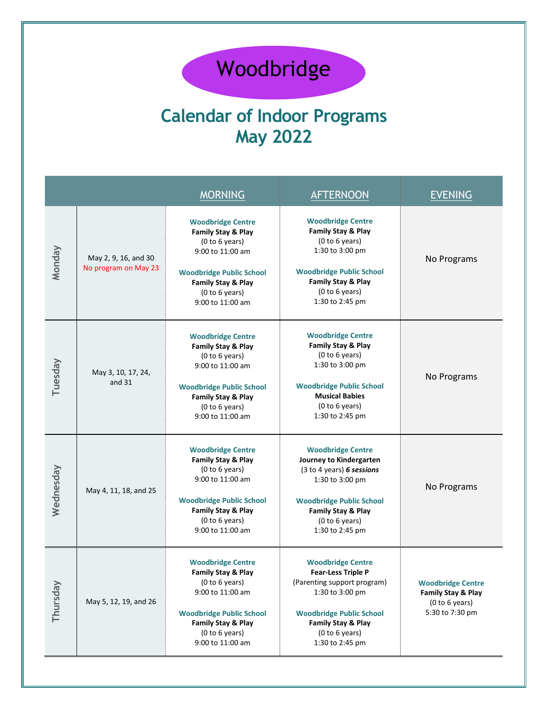## Woodbridge

## **Calendar of Indoor Programs May 2022**

|           |                                              | <b>MORNING</b>                                                                                                                                                                      | <b>AFTERNOON</b>                                                                                                                                                                                      | <b>EVENING</b>                                                                      |
|-----------|----------------------------------------------|-------------------------------------------------------------------------------------------------------------------------------------------------------------------------------------|-------------------------------------------------------------------------------------------------------------------------------------------------------------------------------------------------------|-------------------------------------------------------------------------------------|
| Monday    | May 2, 9, 16, and 30<br>No program on May 23 | <b>Woodbridge Centre</b><br>Family Stay & Play<br>(0 to 6 years)<br>9:00 to 11:00 am<br><b>Woodbridge Public School</b><br>Family Stay & Play<br>(0 to 6 years)<br>9:00 to 11:00 am | <b>Woodbridge Centre</b><br>Family Stay & Play<br>(0 to 6 years)<br>1:30 to 3:00 pm<br><b>Woodbridge Public School</b><br>Family Stay & Play<br>(0 to 6 years)<br>1:30 to 2:45 pm                     | No Programs                                                                         |
| Tuesday   | May 3, 10, 17, 24,<br>and 31                 | <b>Woodbridge Centre</b><br>Family Stay & Play<br>(0 to 6 years)<br>9:00 to 11:00 am<br><b>Woodbridge Public School</b><br>Family Stay & Play<br>(0 to 6 years)<br>9:00 to 11:00 am | <b>Woodbridge Centre</b><br>Family Stay & Play<br>(0 to 6 years)<br>1:30 to 3:00 pm<br><b>Woodbridge Public School</b><br><b>Musical Babies</b><br>(0 to 6 years)<br>1:30 to 2:45 pm                  | No Programs                                                                         |
| Wednesday | May 4, 11, 18, and 25                        | <b>Woodbridge Centre</b><br>Family Stay & Play<br>(0 to 6 years)<br>9:00 to 11:00 am<br><b>Woodbridge Public School</b><br>Family Stay & Play<br>(0 to 6 years)<br>9:00 to 11:00 am | <b>Woodbridge Centre</b><br>Journey to Kindergarten<br>(3 to 4 years) 6 sessions<br>1:30 to 3:00 pm<br><b>Woodbridge Public School</b><br>Family Stay & Play<br>(0 to 6 years)<br>1:30 to 2:45 pm     | No Programs                                                                         |
| Thursday  | May 5, 12, 19, and 26                        | <b>Woodbridge Centre</b><br>Family Stay & Play<br>(0 to 6 years)<br>9:00 to 11:00 am<br><b>Woodbridge Public School</b><br>Family Stay & Play<br>(0 to 6 years)<br>9:00 to 11:00 am | <b>Woodbridge Centre</b><br><b>Fear-Less Triple P</b><br>(Parenting support program)<br>1:30 to 3:00 pm<br><b>Woodbridge Public School</b><br>Family Stay & Play<br>(0 to 6 years)<br>1:30 to 2:45 pm | <b>Woodbridge Centre</b><br>Family Stay & Play<br>(0 to 6 years)<br>5:30 to 7:30 pm |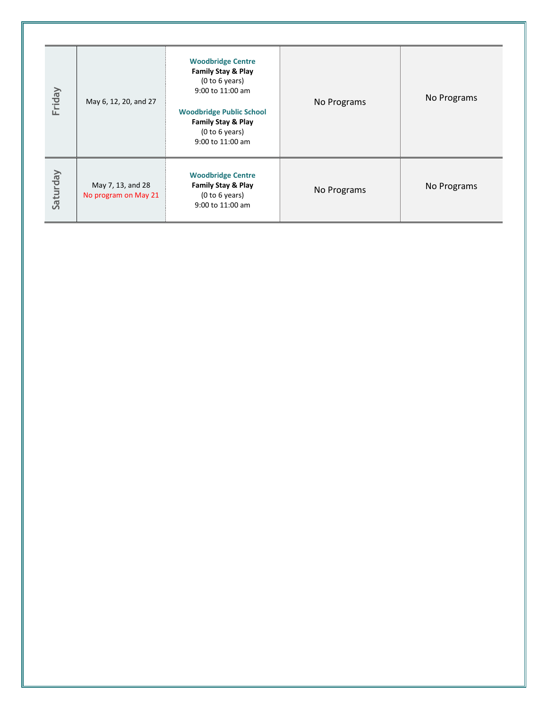| Friday   | May 6, 12, 20, and 27                     | <b>Woodbridge Centre</b><br><b>Family Stay &amp; Play</b><br>(0 to 6 years)<br>9:00 to 11:00 am<br><b>Woodbridge Public School</b><br><b>Family Stay &amp; Play</b><br>(0 to 6 years)<br>9:00 to 11:00 am | No Programs | No Programs |
|----------|-------------------------------------------|-----------------------------------------------------------------------------------------------------------------------------------------------------------------------------------------------------------|-------------|-------------|
| Saturday | May 7, 13, and 28<br>No program on May 21 | <b>Woodbridge Centre</b><br><b>Family Stay &amp; Play</b><br>(0 to 6 years)<br>9:00 to 11:00 am                                                                                                           | No Programs | No Programs |